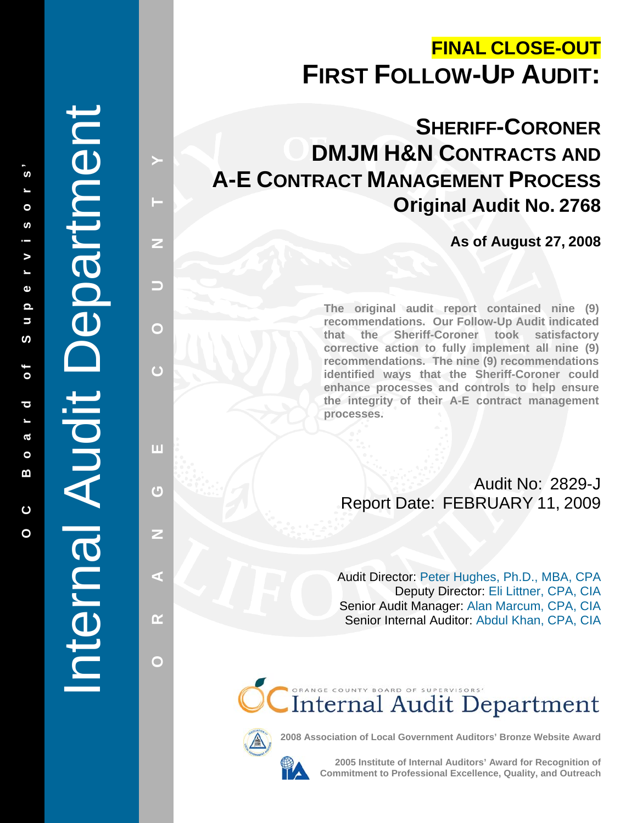# **FINAL CLOSE-OUT FIRST FOLLOW-UP AUDIT:**

**SHERIFF-CORONER DMJM H&N CONTRACTS AND A-E CONTRACT MANAGEMENT PROCESS Original Audit No. 2768**

**As of August 27, 2008** 

**The original audit report contained nine (9) recommendations. Our Follow-Up Audit indicated that the Sheriff-Coroner took satisfactory corrective action to fully implement all nine (9) recommendations. The nine (9) recommendations identified ways that the Sheriff-Coroner could enhance processes and controls to help ensure the integrity of their A-E contract management processes.** 

Audit No: 2829-J Report Date: FEBRUARY 11, 2009

Audit Director: Peter Hughes, Ph.D., MBA, CPA Deputy Director: Eli Littner, CPA, CIA Senior Audit Manager: Alan Marcum, CPA, CIA Senior Internal Auditor: Abdul Khan, CPA, CIA

CInternal Audit Department



**2008 Association of Local Government Auditors' Bronze Website Award**

**2005 Institute of Internal Auditors' Award for Recognition of Commitment to Professional Excellence, Quality, and Outreach** 

# Internal Audit Department Internal Audit Department

**ALANG COUNTY ALANG** 

ш

 $\overline{G}$ 

Z

ď

œ

 $\bigcap$ 

 $\overline{C}$ 

z

-

 $\mathbf{\Omega}$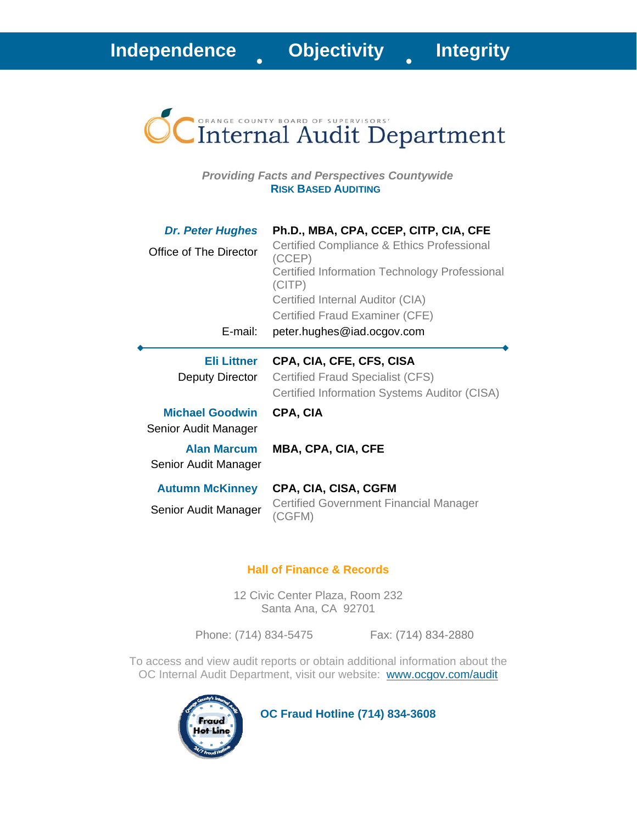

*Providing Facts and Perspectives Countywide*  **RISK BASED AUDITING**

| <b>Dr. Peter Hughes</b><br>Office of The Director<br>E-mail:           | Ph.D., MBA, CPA, CCEP, CITP, CIA, CFE<br>Certified Compliance & Ethics Professional<br>(CCEP)<br>Certified Information Technology Professional<br>(CITP)<br>Certified Internal Auditor (CIA)<br>Certified Fraud Examiner (CFE)<br>peter.hughes@iad.ocgov.com |
|------------------------------------------------------------------------|--------------------------------------------------------------------------------------------------------------------------------------------------------------------------------------------------------------------------------------------------------------|
| <b>Eli Littner</b><br>Deputy Director                                  | CPA, CIA, CFE, CFS, CISA<br><b>Certified Fraud Specialist (CFS)</b><br>Certified Information Systems Auditor (CISA)                                                                                                                                          |
| <b>Michael Goodwin</b><br>Senior Audit Manager<br><b>Alan Marcum</b>   | CPA, CIA<br><b>MBA, CPA, CIA, CFE</b>                                                                                                                                                                                                                        |
| Senior Audit Manager<br><b>Autumn McKinney</b><br>Senior Audit Manager | CPA, CIA, CISA, CGFM<br>Certified Government Financial Manager<br>(CGFM)                                                                                                                                                                                     |

### **Hall of Finance & Records**

12 Civic Center Plaza, Room 232 Santa Ana, CA 92701

Phone: (714) 834-5475 Fax: (714) 834-2880

To access and view audit reports or obtain additional information about the OC Internal Audit Department, visit our website: www.ocgov.com/audit



 **OC Fraud Hotline (714) 834-3608**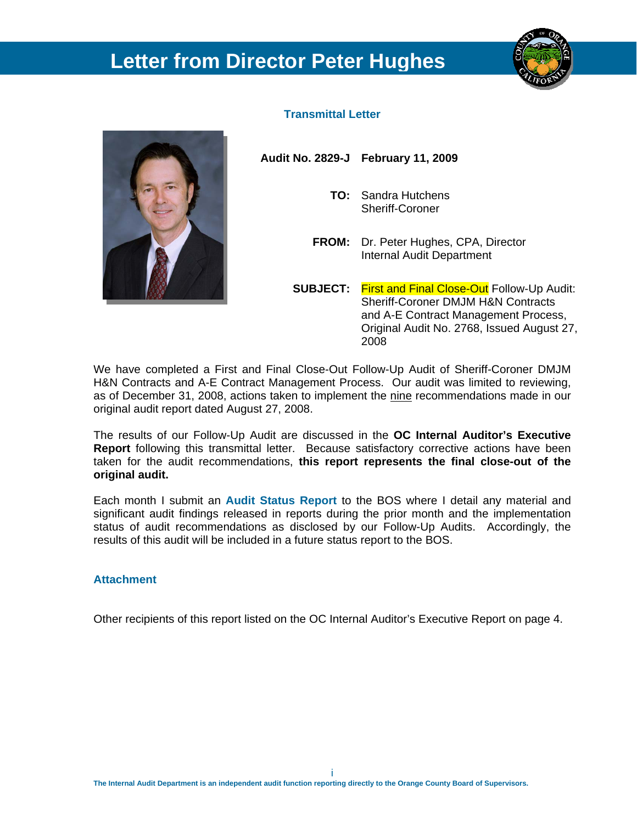# **Letter from Director Peter Hughes**





### **Transmittal Letter**

**Audit No. 2829-J February 11, 2009** 

- **TO:** Sandra Hutchens Sheriff-Coroner
- **FROM:** Dr. Peter Hughes, CPA, Director Internal Audit Department
- **SUBJECT:** First and Final Close-Out Follow-Up Audit: Sheriff-Coroner DMJM H&N Contracts and A-E Contract Management Process, Original Audit No. 2768, Issued August 27, 2008

We have completed a First and Final Close-Out Follow-Up Audit of Sheriff-Coroner DMJM H&N Contracts and A-E Contract Management Process. Our audit was limited to reviewing, as of December 31, 2008, actions taken to implement the nine recommendations made in our original audit report dated August 27, 2008.

The results of our Follow-Up Audit are discussed in the **OC Internal Auditor's Executive Report** following this transmittal letter. Because satisfactory corrective actions have been taken for the audit recommendations, **this report represents the final close-out of the original audit.** 

Each month I submit an **Audit Status Report** to the BOS where I detail any material and significant audit findings released in reports during the prior month and the implementation status of audit recommendations as disclosed by our Follow-Up Audits. Accordingly, the results of this audit will be included in a future status report to the BOS.

### **Attachment**

Other recipients of this report listed on the OC Internal Auditor's Executive Report on page 4.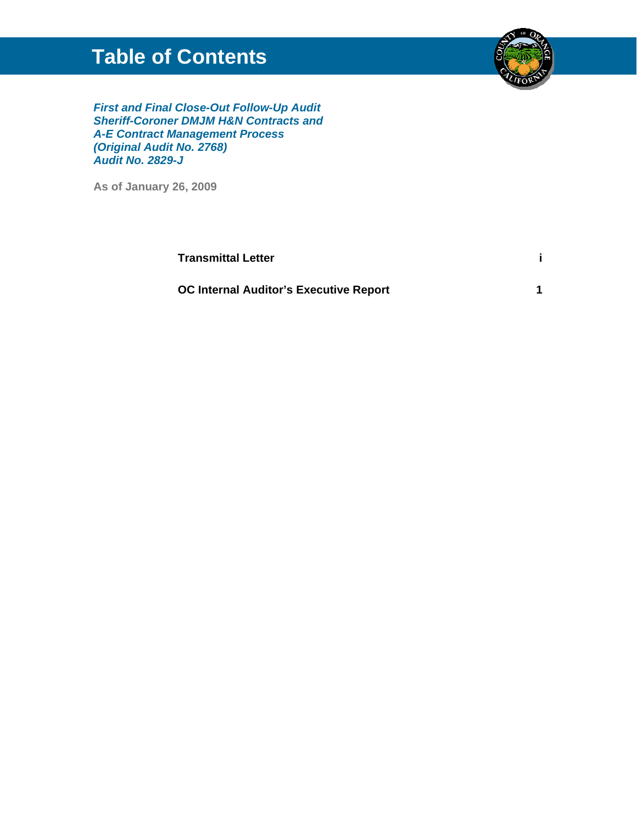# **Table of Contents**



*First and Final Close-Out Follow-Up Audit Sheriff-Coroner DMJM H&N Contracts and A-E Contract Management Process (Original Audit No. 2768) Audit No. 2829-J*

**As of January 26, 2009** 

| <b>Transmittal Letter</b>                     |  |
|-----------------------------------------------|--|
| <b>OC Internal Auditor's Executive Report</b> |  |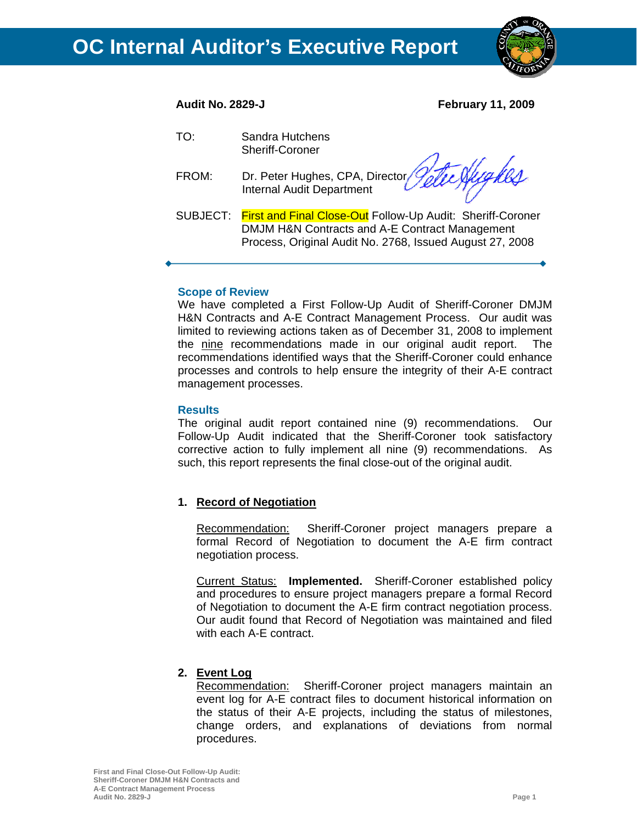

**Audit No. 2829-J February 11, 2009** 

- TO: Sandra Hutchens Sheriff-Coroner
- FROM: Dr. Peter Hughes, CPA, Director Internal Audit Department

Nyykes

SUBJECT: First and Final Close-Out Follow-Up Audit: Sheriff-Coroner DMJM H&N Contracts and A-E Contract Management Process, Original Audit No. 2768, Issued August 27, 2008

### **Scope of Review**

We have completed a First Follow-Up Audit of Sheriff-Coroner DMJM H&N Contracts and A-E Contract Management Process. Our audit was limited to reviewing actions taken as of December 31, 2008 to implement the nine recommendations made in our original audit report. The recommendations identified ways that the Sheriff-Coroner could enhance processes and controls to help ensure the integrity of their A-E contract management processes.

### **Results**

The original audit report contained nine (9) recommendations. Our Follow-Up Audit indicated that the Sheriff-Coroner took satisfactory corrective action to fully implement all nine (9) recommendations. As such, this report represents the final close-out of the original audit.

### **1. Record of Negotiation**

Recommendation: Sheriff-Coroner project managers prepare a formal Record of Negotiation to document the A-E firm contract negotiation process.

Current Status: **Implemented.** Sheriff-Coroner established policy and procedures to ensure project managers prepare a formal Record of Negotiation to document the A-E firm contract negotiation process. Our audit found that Record of Negotiation was maintained and filed with each A-E contract.

### **2. Event Log**

Recommendation: Sheriff-Coroner project managers maintain an event log for A-E contract files to document historical information on the status of their A-E projects, including the status of milestones, change orders, and explanations of deviations from normal procedures.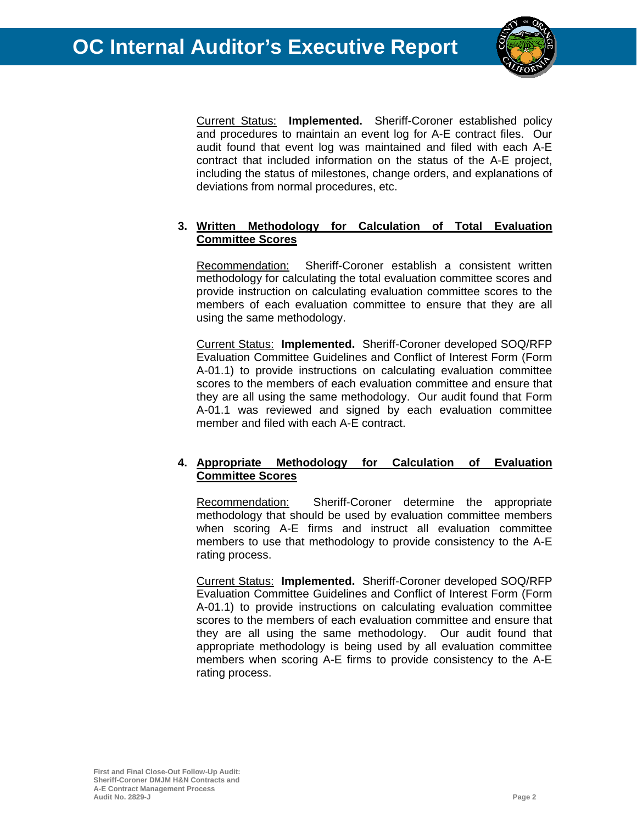

Current Status: **Implemented.** Sheriff-Coroner established policy and procedures to maintain an event log for A-E contract files. Our audit found that event log was maintained and filed with each A-E contract that included information on the status of the A-E project, including the status of milestones, change orders, and explanations of deviations from normal procedures, etc.

### **3. Written Methodology for Calculation of Total Evaluation Committee Scores**

Recommendation: Sheriff-Coroner establish a consistent written methodology for calculating the total evaluation committee scores and provide instruction on calculating evaluation committee scores to the members of each evaluation committee to ensure that they are all using the same methodology.

Current Status: **Implemented.** Sheriff-Coroner developed SOQ/RFP Evaluation Committee Guidelines and Conflict of Interest Form (Form A-01.1) to provide instructions on calculating evaluation committee scores to the members of each evaluation committee and ensure that they are all using the same methodology. Our audit found that Form A-01.1 was reviewed and signed by each evaluation committee member and filed with each A-E contract.

### **4. Appropriate Methodology for Calculation of Evaluation Committee Scores**

Recommendation: Sheriff-Coroner determine the appropriate methodology that should be used by evaluation committee members when scoring A-E firms and instruct all evaluation committee members to use that methodology to provide consistency to the A-E rating process.

Current Status: **Implemented.** Sheriff-Coroner developed SOQ/RFP Evaluation Committee Guidelines and Conflict of Interest Form (Form A-01.1) to provide instructions on calculating evaluation committee scores to the members of each evaluation committee and ensure that they are all using the same methodology. Our audit found that appropriate methodology is being used by all evaluation committee members when scoring A-E firms to provide consistency to the A-E rating process.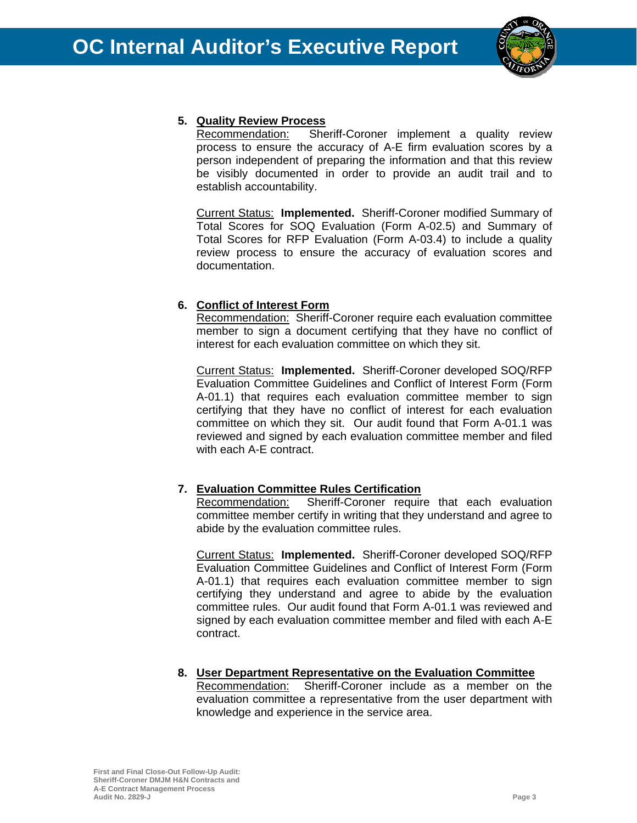

### **5. Quality Review Process**

Recommendation: Sheriff-Coroner implement a quality review process to ensure the accuracy of A-E firm evaluation scores by a person independent of preparing the information and that this review be visibly documented in order to provide an audit trail and to establish accountability.

Current Status: **Implemented.** Sheriff-Coroner modified Summary of Total Scores for SOQ Evaluation (Form A-02.5) and Summary of Total Scores for RFP Evaluation (Form A-03.4) to include a quality review process to ensure the accuracy of evaluation scores and documentation.

## **6. Conflict of Interest Form**

Recommendation: Sheriff-Coroner require each evaluation committee member to sign a document certifying that they have no conflict of interest for each evaluation committee on which they sit.

Current Status: **Implemented.** Sheriff-Coroner developed SOQ/RFP Evaluation Committee Guidelines and Conflict of Interest Form (Form A-01.1) that requires each evaluation committee member to sign certifying that they have no conflict of interest for each evaluation committee on which they sit. Our audit found that Form A-01.1 was reviewed and signed by each evaluation committee member and filed with each A-E contract.

### **7. Evaluation Committee Rules Certification**

Recommendation: Sheriff-Coroner require that each evaluation committee member certify in writing that they understand and agree to abide by the evaluation committee rules.

Current Status: **Implemented.** Sheriff-Coroner developed SOQ/RFP Evaluation Committee Guidelines and Conflict of Interest Form (Form A-01.1) that requires each evaluation committee member to sign certifying they understand and agree to abide by the evaluation committee rules. Our audit found that Form A-01.1 was reviewed and signed by each evaluation committee member and filed with each A-E contract.

### **8. User Department Representative on the Evaluation Committee**

Recommendation: Sheriff-Coroner include as a member on the evaluation committee a representative from the user department with knowledge and experience in the service area.